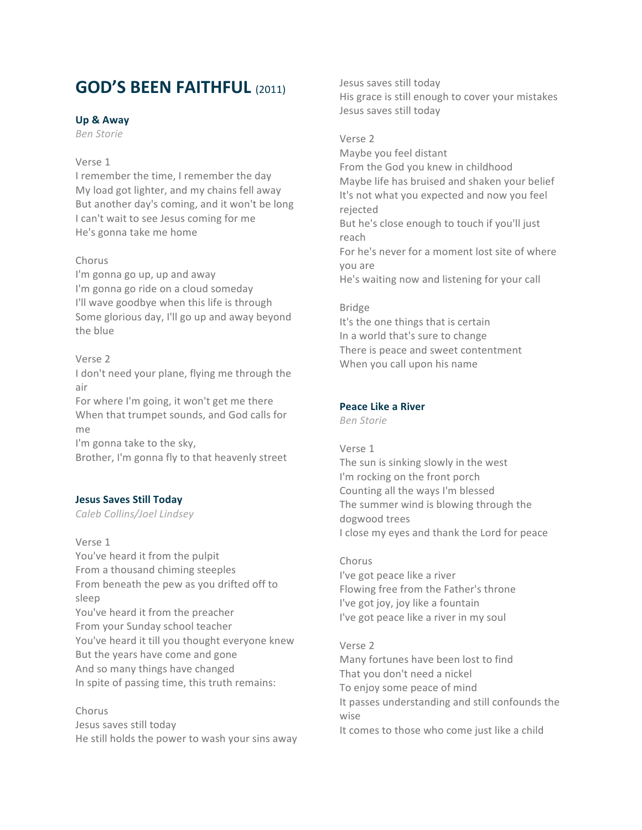# **GOD'S BEEN FAITHFUL** (2011)

### **Up & Away**

*Ben Storie*

### Verse 1

I remember the time, I remember the day My load got lighter, and my chains fell away But another day's coming, and it won't be long I can't wait to see Jesus coming for me He's gonna take me home

### Chorus

I'm gonna go up, up and away I'm gonna go ride on a cloud someday I'll wave goodbye when this life is through Some glorious day, I'll go up and away beyond the blue

### Verse 2

I don't need your plane, flying me through the air

For where I'm going, it won't get me there When that trumpet sounds, and God calls for me

I'm gonna take to the sky,

Brother, I'm gonna fly to that heavenly street

### **Jesus Saves Still Today**

*Caleb Collins/Joel Lindsey*

Verse 1 You've heard it from the pulpit From a thousand chiming steeples From beneath the pew as you drifted off to sleep You've heard it from the preacher From your Sunday school teacher You've heard it till you thought everyone knew But the years have come and gone And so many things have changed In spite of passing time, this truth remains:

### Chorus

Jesus saves still today He still holds the power to wash your sins away Jesus saves still today His grace is still enough to cover your mistakes Jesus saves still today

### Verse 2

Maybe you feel distant From the God you knew in childhood Maybe life has bruised and shaken your belief It's not what you expected and now you feel rejected But he's close enough to touch if you'll just reach For he's never for a moment lost site of where you are He's waiting now and listening for your call

### Bridge

It's the one things that is certain In a world that's sure to change There is peace and sweet contentment When you call upon his name

### **Peace Like a River**

*Ben Storie*

### Verse 1

The sun is sinking slowly in the west I'm rocking on the front porch Counting all the ways I'm blessed The summer wind is blowing through the dogwood trees I close my eyes and thank the Lord for peace

### Chorus

I've got peace like a river Flowing free from the Father's throne I've got joy, joy like a fountain I've got peace like a river in my soul

### Verse 2 Many fortunes have been lost to find That you don't need a nickel To enjoy some peace of mind It passes understanding and still confounds the wise It comes to those who come just like a child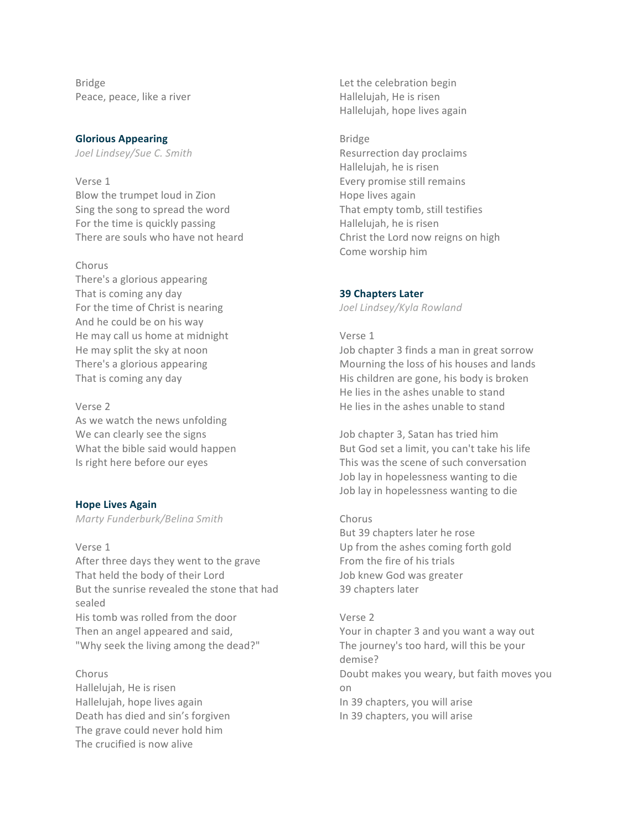Bridge Peace, peace, like a river

### **Glorious Appearing**

*Joel Lindsey/Sue C. Smith*

### Verse 1

Blow the trumpet loud in Zion Sing the song to spread the word For the time is quickly passing There are souls who have not heard

### Chorus

There's a glorious appearing That is coming any day For the time of Christ is nearing And he could be on his way He may call us home at midnight He may split the sky at noon There's a glorious appearing That is coming any day

### Verse 2

As we watch the news unfolding We can clearly see the signs What the bible said would happen Is right here before our eyes

### **Hope Lives Again**

*Marty Funderburk/Belina Smith*

### Verse 1

After three days they went to the grave That held the body of their Lord But the sunrise revealed the stone that had sealed His tomb was rolled from the door Then an angel appeared and said, "Why seek the living among the dead?"

## Chorus

Hallelujah, He is risen Hallelujah, hope lives again Death has died and sin's forgiven The grave could never hold him The crucified is now alive

Let the celebration begin Hallelujah, He is risen Hallelujah, hope lives again

### Bridge

Resurrection day proclaims Hallelujah, he is risen Every promise still remains Hope lives again That empty tomb, still testifies Hallelujah, he is risen Christ the Lord now reigns on high Come worship him

### **39 Chapters Later**

*Joel Lindsey/Kyla Rowland*

### Verse 1

Job chapter 3 finds a man in great sorrow Mourning the loss of his houses and lands His children are gone, his body is broken He lies in the ashes unable to stand He lies in the ashes unable to stand

Job chapter 3, Satan has tried him But God set a limit, you can't take his life This was the scene of such conversation Job lay in hopelessness wanting to die Job lay in hopelessness wanting to die

## Chorus

But 39 chapters later he rose Up from the ashes coming forth gold From the fire of his trials Job knew God was greater 39 chapters later

### Verse 2

Your in chapter 3 and you want a way out The journey's too hard, will this be your demise? Doubt makes you weary, but faith moves you on In 39 chapters, you will arise In 39 chapters, you will arise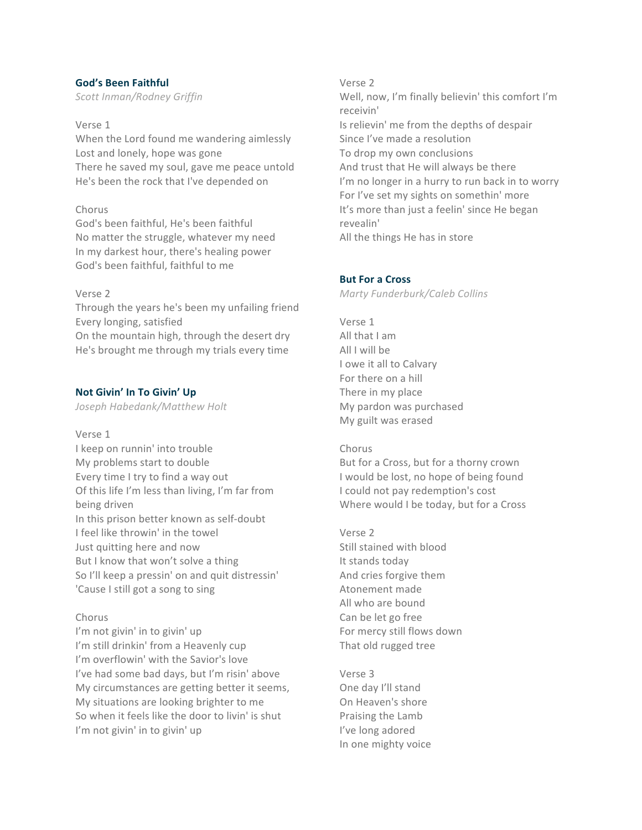### **God's Been Faithful**

*Scott Inman/Rodney Griffin*

Verse 1 When the Lord found me wandering aimlessly Lost and lonely, hope was gone There he saved my soul, gave me peace untold He's been the rock that I've depended on

### Chorus

God's been faithful, He's been faithful No matter the struggle, whatever my need In my darkest hour, there's healing power God's been faithful, faithful to me

### Verse 2

Through the years he's been my unfailing friend Every longing, satisfied On the mountain high, through the desert dry He's brought me through my trials every time

### **Not Givin' In To Givin' Up**

*Joseph Habedank/Matthew Holt*

Verse 1 I keep on runnin' into trouble My problems start to double Every time I try to find a way out Of this life I'm less than living, I'm far from being driven In this prison better known as self-doubt I feel like throwin' in the towel Just quitting here and now But I know that won't solve a thing So I'll keep a pressin' on and quit distressin' 'Cause I still got a song to sing

### Chorus

I'm not givin' in to givin' up I'm still drinkin' from a Heavenly cup I'm overflowin' with the Savior's love I've had some bad days, but I'm risin' above My circumstances are getting better it seems, My situations are looking brighter to me So when it feels like the door to livin' is shut I'm not givin' in to givin' up

Verse 2 Well, now, I'm finally believin' this comfort I'm receivin' Is relievin' me from the depths of despair Since I've made a resolution To drop my own conclusions And trust that He will always be there I'm no longer in a hurry to run back in to worry For I've set my sights on somethin' more It's more than just a feelin' since He began revealin' All the things He has in store

### **But For a Cross**

*Marty Funderburk/Caleb Collins*

Verse 1 All that I am All I will be I owe it all to Calvary For there on a hill There in my place My pardon was purchased My guilt was erased

### Chorus

But for a Cross, but for a thorny crown I would be lost, no hope of being found I could not pay redemption's cost Where would I be today, but for a Cross

Verse 2 Still stained with blood It stands today And cries forgive them Atonement made All who are bound Can be let go free For mercy still flows down That old rugged tree

Verse 3 One day I'll stand On Heaven's shore Praising the Lamb I've long adored In one mighty voice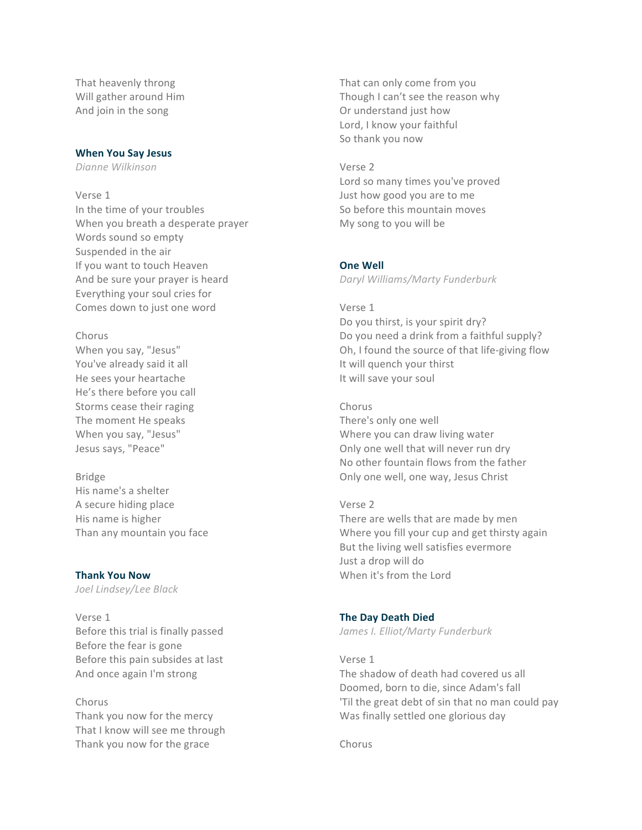That heavenly throng Will gather around Him And join in the song

### **When You Say Jesus**

*Dianne Wilkinson*

### Verse 1

In the time of your troubles When you breath a desperate prayer Words sound so empty Suspended in the air If you want to touch Heaven And be sure your prayer is heard Everything your soul cries for Comes down to just one word

### Chorus

When you say, "Jesus" You've already said it all He sees your heartache He's there before you call Storms cease their raging The moment He speaks When you say, "Jesus" Jesus says, "Peace"

Bridge His name's a shelter A secure hiding place His name is higher Than any mountain you face

### **Thank You Now**

*Joel Lindsey/Lee Black*

Verse 1 Before this trial is finally passed Before the fear is gone Before this pain subsides at last And once again I'm strong

Chorus Thank you now for the mercy That I know will see me through Thank you now for the grace

That can only come from you Though I can't see the reason why Or understand just how Lord, I know your faithful So thank you now

### Verse 2

Lord so many times you've proved Just how good you are to me So before this mountain moves My song to you will be

### **One Well**

*Daryl Williams/Marty Funderburk*

### Verse 1

Do you thirst, is your spirit dry? Do you need a drink from a faithful supply? Oh, I found the source of that life-giving flow It will quench your thirst It will save your soul

### Chorus

There's only one well Where you can draw living water Only one well that will never run dry No other fountain flows from the father Only one well, one way, Jesus Christ

### Verse 2

There are wells that are made by men Where you fill your cup and get thirsty again But the living well satisfies evermore Just a drop will do When it's from the Lord

### **The Day Death Died**

*James I. Elliot/Marty Funderburk*

### Verse 1

The shadow of death had covered us all Doomed, born to die, since Adam's fall 'Til the great debt of sin that no man could pay Was finally settled one glorious day

Chorus